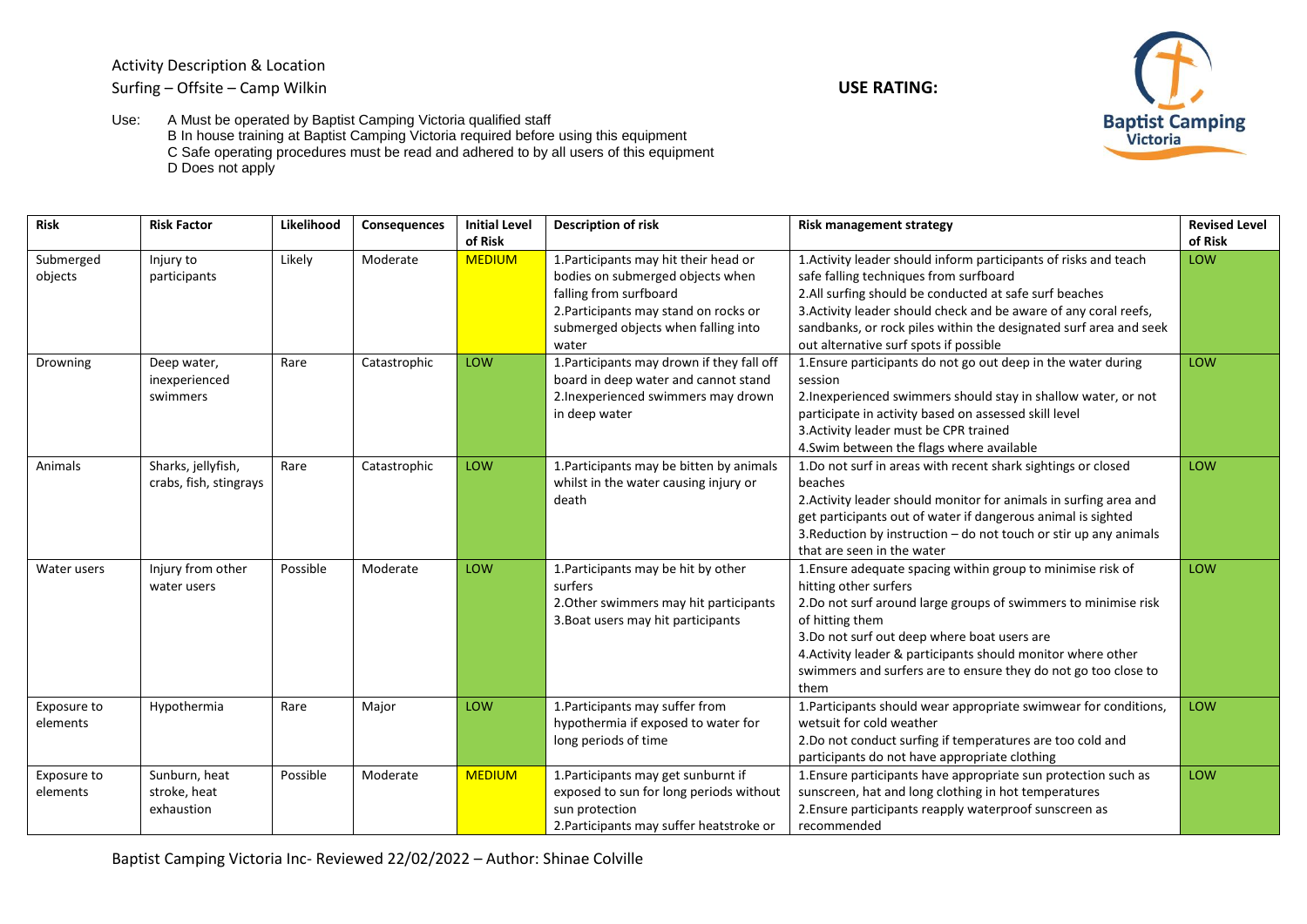Activity Description & Location Surfing – Offsite – Camp Wilkin **USE RATING:** 





Use: A Must be operated by Baptist Camping Victoria qualified staff B In house training at Baptist Camping Victoria required before using this equipment C Safe operating procedures must be read and adhered to by all users of this equipment D Does not apply

| <b>Risk</b>             | <b>Risk Factor</b>                           | Likelihood | <b>Consequences</b> | <b>Initial Level</b><br>of Risk | <b>Description of risk</b>                                                                                                                                                                   | <b>Risk management strategy</b>                                                                                                                                                                                                                                                                                                                                    | <b>Revised Level</b><br>of Risk |
|-------------------------|----------------------------------------------|------------|---------------------|---------------------------------|----------------------------------------------------------------------------------------------------------------------------------------------------------------------------------------------|--------------------------------------------------------------------------------------------------------------------------------------------------------------------------------------------------------------------------------------------------------------------------------------------------------------------------------------------------------------------|---------------------------------|
| Submerged<br>objects    | Injury to<br>participants                    | Likely     | Moderate            | <b>MEDIUM</b>                   | 1. Participants may hit their head or<br>bodies on submerged objects when<br>falling from surfboard<br>2. Participants may stand on rocks or<br>submerged objects when falling into<br>water | 1. Activity leader should inform participants of risks and teach<br>safe falling techniques from surfboard<br>2.All surfing should be conducted at safe surf beaches<br>3. Activity leader should check and be aware of any coral reefs,<br>sandbanks, or rock piles within the designated surf area and seek<br>out alternative surf spots if possible            | LOW                             |
| Drowning                | Deep water,<br>inexperienced<br>swimmers     | Rare       | Catastrophic        | LOW                             | 1. Participants may drown if they fall off<br>board in deep water and cannot stand<br>2. Inexperienced swimmers may drown<br>in deep water                                                   | 1. Ensure participants do not go out deep in the water during<br>session<br>2. Inexperienced swimmers should stay in shallow water, or not<br>participate in activity based on assessed skill level<br>3. Activity leader must be CPR trained<br>4. Swim between the flags where available                                                                         | LOW                             |
| Animals                 | Sharks, jellyfish,<br>crabs, fish, stingrays | Rare       | Catastrophic        | LOW                             | 1. Participants may be bitten by animals<br>whilst in the water causing injury or<br>death                                                                                                   | 1.Do not surf in areas with recent shark sightings or closed<br>beaches<br>2. Activity leader should monitor for animals in surfing area and<br>get participants out of water if dangerous animal is sighted<br>3. Reduction by instruction - do not touch or stir up any animals<br>that are seen in the water                                                    | LOW                             |
| Water users             | Injury from other<br>water users             | Possible   | Moderate            | LOW                             | 1. Participants may be hit by other<br>surfers<br>2. Other swimmers may hit participants<br>3. Boat users may hit participants                                                               | 1. Ensure adequate spacing within group to minimise risk of<br>hitting other surfers<br>2.Do not surf around large groups of swimmers to minimise risk<br>of hitting them<br>3.Do not surf out deep where boat users are<br>4. Activity leader & participants should monitor where other<br>swimmers and surfers are to ensure they do not go too close to<br>them | LOW                             |
| Exposure to<br>elements | Hypothermia                                  | Rare       | Major               | LOW                             | 1. Participants may suffer from<br>hypothermia if exposed to water for<br>long periods of time                                                                                               | 1. Participants should wear appropriate swimwear for conditions,<br>wetsuit for cold weather<br>2.Do not conduct surfing if temperatures are too cold and<br>participants do not have appropriate clothing                                                                                                                                                         | LOW                             |
| Exposure to<br>elements | Sunburn, heat<br>stroke, heat<br>exhaustion  | Possible   | Moderate            | <b>MEDIUM</b>                   | 1. Participants may get sunburnt if<br>exposed to sun for long periods without<br>sun protection<br>2. Participants may suffer heatstroke or                                                 | 1. Ensure participants have appropriate sun protection such as<br>sunscreen, hat and long clothing in hot temperatures<br>2. Ensure participants reapply waterproof sunscreen as<br>recommended                                                                                                                                                                    | LOW                             |